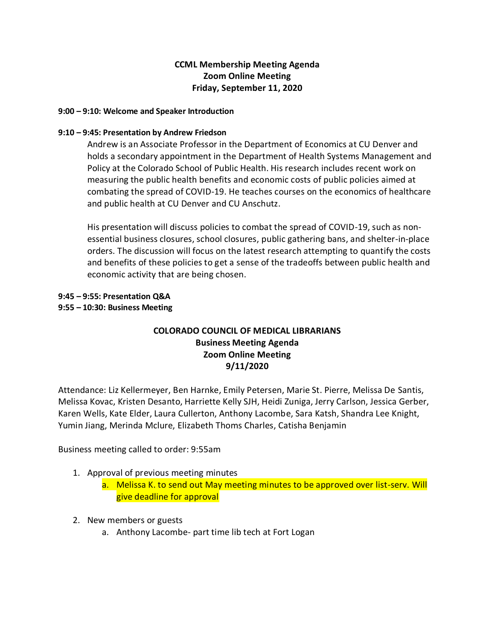## **CCML Membership Meeting Agenda Zoom Online Meeting Friday, September 11, 2020**

#### **9:00 – 9:10: Welcome and Speaker Introduction**

#### **9:10 – 9:45: Presentation by Andrew Friedson**

Andrew is an Associate Professor in the Department of Economics at CU Denver and holds a secondary appointment in the Department of Health Systems Management and Policy at the Colorado School of Public Health. His research includes recent work on measuring the public health benefits and economic costs of public policies aimed at combating the spread of COVID-19. He teaches courses on the economics of healthcare and public health at CU Denver and CU Anschutz.

His presentation will discuss policies to combat the spread of COVID-19, such as nonessential business closures, school closures, public gathering bans, and shelter-in-place orders. The discussion will focus on the latest research attempting to quantify the costs and benefits of these policies to get a sense of the tradeoffs between public health and economic activity that are being chosen.

### **9:45 – 9:55: Presentation Q&A 9:55 – 10:30: Business Meeting**

# **COLORADO COUNCIL OF MEDICAL LIBRARIANS Business Meeting Agenda Zoom Online Meeting 9/11/2020**

Attendance: Liz Kellermeyer, Ben Harnke, Emily Petersen, Marie St. Pierre, Melissa De Santis, Melissa Kovac, Kristen Desanto, Harriette Kelly SJH, Heidi Zuniga, Jerry Carlson, Jessica Gerber, Karen Wells, Kate Elder, Laura Cullerton, Anthony Lacombe, Sara Katsh, Shandra Lee Knight, Yumin Jiang, Merinda Mclure, Elizabeth Thoms Charles, Catisha Benjamin

Business meeting called to order: 9:55am

- 1. Approval of previous meeting minutes
	- a. Melissa K. to send out May meeting minutes to be approved over list-serv. Will give deadline for approval
- 2. New members or guests
	- a. Anthony Lacombe- part time lib tech at Fort Logan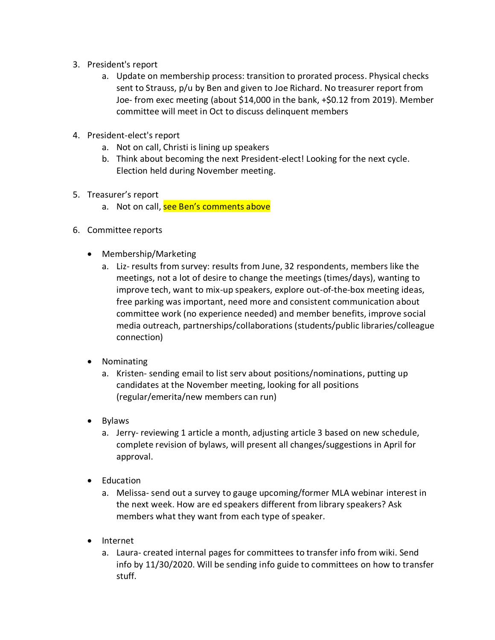- 3. President's report
	- a. Update on membership process: transition to prorated process. Physical checks sent to Strauss, p/u by Ben and given to Joe Richard. No treasurer report from Joe- from exec meeting (about \$14,000 in the bank, +\$0.12 from 2019). Member committee will meet in Oct to discuss delinquent members
- 4. President-elect's report
	- a. Not on call, Christi is lining up speakers
	- b. Think about becoming the next President-elect! Looking for the next cycle. Election held during November meeting.
- 5. Treasurer's report
	- a. Not on call, see Ben's comments above
- 6. Committee reports
	- Membership/Marketing
		- a. Liz- results from survey: results from June, 32 respondents, members like the meetings, not a lot of desire to change the meetings (times/days), wanting to improve tech, want to mix-up speakers, explore out-of-the-box meeting ideas, free parking was important, need more and consistent communication about committee work (no experience needed) and member benefits, improve social media outreach, partnerships/collaborations (students/public libraries/colleague connection)
	- Nominating
		- a. Kristen- sending email to list serv about positions/nominations, putting up candidates at the November meeting, looking for all positions (regular/emerita/new members can run)
	- Bylaws
		- a. Jerry- reviewing 1 article a month, adjusting article 3 based on new schedule, complete revision of bylaws, will present all changes/suggestions in April for approval.
	- Education
		- a. Melissa- send out a survey to gauge upcoming/former MLA webinar interest in the next week. How are ed speakers different from library speakers? Ask members what they want from each type of speaker.
	- Internet
		- a. Laura- created internal pages for committees to transfer info from wiki. Send info by 11/30/2020. Will be sending info guide to committees on how to transfer stuff.